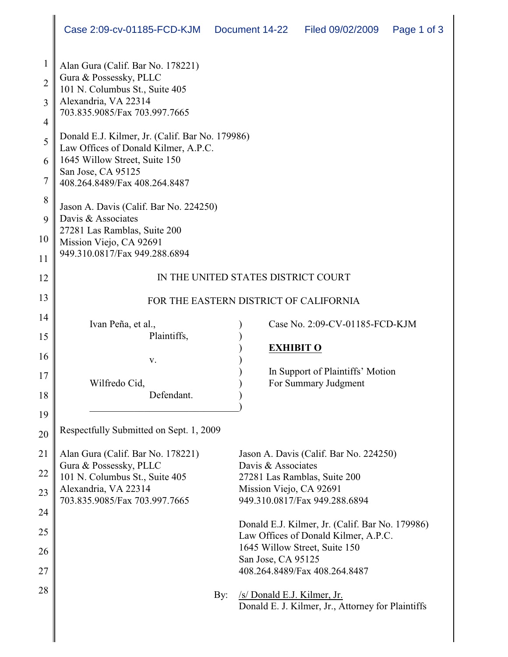| 1              | Alan Gura (Calif. Bar No. 178221)                                                       |                                                                                         |
|----------------|-----------------------------------------------------------------------------------------|-----------------------------------------------------------------------------------------|
| $\overline{2}$ | Gura & Possessky, PLLC<br>101 N. Columbus St., Suite 405                                |                                                                                         |
| 3              | Alexandria, VA 22314<br>703.835.9085/Fax 703.997.7665                                   |                                                                                         |
| 4              |                                                                                         |                                                                                         |
| 5              | Donald E.J. Kilmer, Jr. (Calif. Bar No. 179986)<br>Law Offices of Donald Kilmer, A.P.C. |                                                                                         |
| 6              | 1645 Willow Street, Suite 150                                                           |                                                                                         |
| 7              | San Jose, CA 95125<br>408.264.8489/Fax 408.264.8487                                     |                                                                                         |
| 8              | Jason A. Davis (Calif. Bar No. 224250)                                                  |                                                                                         |
| 9              | Davis & Associates<br>27281 Las Ramblas, Suite 200                                      |                                                                                         |
| 10             | Mission Viejo, CA 92691                                                                 |                                                                                         |
| 11             | 949.310.0817/Fax 949.288.6894                                                           |                                                                                         |
| 12             | IN THE UNITED STATES DISTRICT COURT                                                     |                                                                                         |
| 13             | FOR THE EASTERN DISTRICT OF CALIFORNIA                                                  |                                                                                         |
| 14             | Ivan Peña, et al.,                                                                      | Case No. 2:09-CV-01185-FCD-KJM                                                          |
| 15             | Plaintiffs,                                                                             |                                                                                         |
| 16             |                                                                                         | <b>EXHIBIT O</b>                                                                        |
|                | V.                                                                                      | In Support of Plaintiffs' Motion                                                        |
| 17             | Wilfredo Cid,                                                                           | For Summary Judgment                                                                    |
| 18             | Defendant.                                                                              |                                                                                         |
| 19             |                                                                                         |                                                                                         |
| 20             | Respectfully Submitted on Sept. 1, 2009                                                 |                                                                                         |
| 21             | Alan Gura (Calif. Bar No. 178221)                                                       | Jason A. Davis (Calif. Bar No. 224250)                                                  |
| 22             | Gura & Possessky, PLLC                                                                  | Davis & Associates                                                                      |
|                | 101 N. Columbus St., Suite 405<br>Alexandria, VA 22314                                  | 27281 Las Ramblas, Suite 200<br>Mission Viejo, CA 92691                                 |
| 23             | 703.835.9085/Fax 703.997.7665                                                           | 949.310.0817/Fax 949.288.6894                                                           |
| 24             |                                                                                         |                                                                                         |
| 25             |                                                                                         | Donald E.J. Kilmer, Jr. (Calif. Bar No. 179986)<br>Law Offices of Donald Kilmer, A.P.C. |
| 26             |                                                                                         | 1645 Willow Street, Suite 150                                                           |
|                |                                                                                         | San Jose, CA 95125                                                                      |
| 27             |                                                                                         | 408.264.8489/Fax 408.264.8487                                                           |
| 28             | By:                                                                                     | /s/ Donald E.J. Kilmer, Jr.                                                             |
|                |                                                                                         | Donald E. J. Kilmer, Jr., Attorney for Plaintiffs                                       |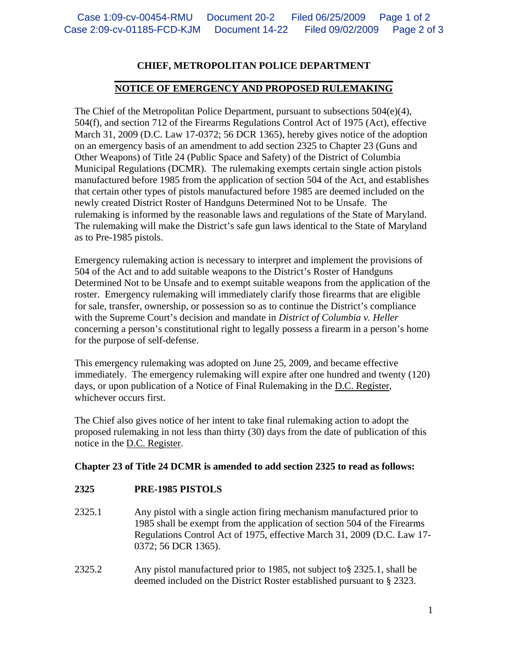## **CHIEF, METROPOLITAN POLICE DEPARTMENT**

## **\_\_\_\_\_\_\_\_\_\_\_\_\_\_\_\_\_\_\_\_\_\_\_\_\_\_\_\_\_\_\_\_\_\_\_\_\_\_\_\_\_\_\_\_\_\_\_\_\_\_\_\_\_\_\_\_ NOTICE OF EMERGENCY AND PROPOSED RULEMAKING**

The Chief of the Metropolitan Police Department, pursuant to subsections  $504(e)(4)$ , 504(f), and section 712 of the Firearms Regulations Control Act of 1975 (Act), effective March 31, 2009 (D.C. Law 17-0372; 56 DCR 1365), hereby gives notice of the adoption on an emergency basis of an amendment to add section 2325 to Chapter 23 (Guns and Other Weapons) of Title 24 (Public Space and Safety) of the District of Columbia Municipal Regulations (DCMR). The rulemaking exempts certain single action pistols manufactured before 1985 from the application of section 504 of the Act, and establishes that certain other types of pistols manufactured before 1985 are deemed included on the newly created District Roster of Handguns Determined Not to be Unsafe. The rulemaking is informed by the reasonable laws and regulations of the State of Maryland. The rulemaking will make the District's safe gun laws identical to the State of Maryland as to Pre-1985 pistols.

Emergency rulemaking action is necessary to interpret and implement the provisions of 504 of the Act and to add suitable weapons to the District's Roster of Handguns Determined Not to be Unsafe and to exempt suitable weapons from the application of the roster. Emergency rulemaking will immediately clarify those firearms that are eligible for sale, transfer, ownership, or possession so as to continue the District's compliance with the Supreme Court's decision and mandate in *District of Columbia v. Heller* concerning a person's constitutional right to legally possess a firearm in a person's home for the purpose of self-defense.

This emergency rulemaking was adopted on June 25, 2009, and became effective immediately. The emergency rulemaking will expire after one hundred and twenty (120) days, or upon publication of a Notice of Final Rulemaking in the D.C. Register, whichever occurs first.

The Chief also gives notice of her intent to take final rulemaking action to adopt the proposed rulemaking in not less than thirty (30) days from the date of publication of this notice in the D.C. Register.

## **Chapter 23 of Title 24 DCMR is amended to add section 2325 to read as follows:**

## **2325 PRE-1985 PISTOLS**

- 2325.1 Any pistol with a single action firing mechanism manufactured prior to 1985 shall be exempt from the application of section 504 of the Firearms Regulations Control Act of 1975, effective March 31, 2009 (D.C. Law 17- 0372; 56 DCR 1365).
- 2325.2 Any pistol manufactured prior to 1985, not subject to§ 2325.1, shall be deemed included on the District Roster established pursuant to § 2323.